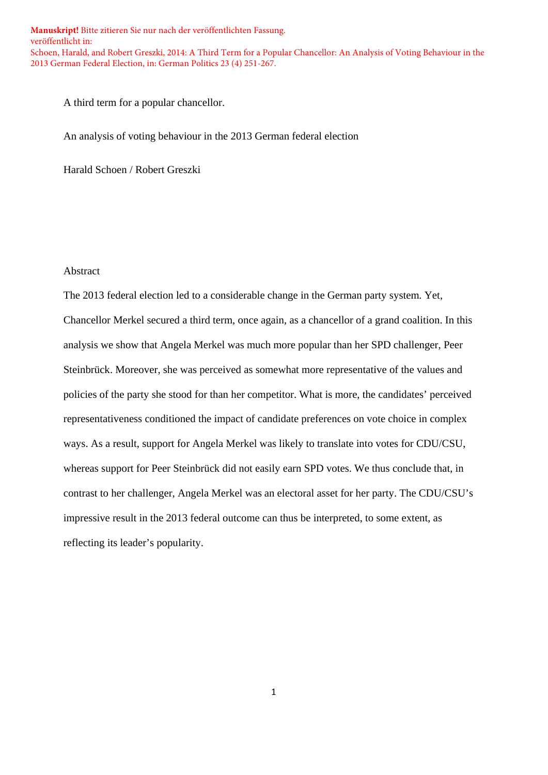A third term for a popular chancellor.

An analysis of voting behaviour in the 2013 German federal election

Harald Schoen / Robert Greszki

## Abstract

The 2013 federal election led to a considerable change in the German party system. Yet, Chancellor Merkel secured a third term, once again, as a chancellor of a grand coalition. In this analysis we show that Angela Merkel was much more popular than her SPD challenger, Peer Steinbrück. Moreover, she was perceived as somewhat more representative of the values and policies of the party she stood for than her competitor. What is more, the candidates' perceived representativeness conditioned the impact of candidate preferences on vote choice in complex ways. As a result, support for Angela Merkel was likely to translate into votes for CDU/CSU, whereas support for Peer Steinbrück did not easily earn SPD votes. We thus conclude that, in contrast to her challenger, Angela Merkel was an electoral asset for her party. The CDU/CSU's impressive result in the 2013 federal outcome can thus be interpreted, to some extent, as reflecting its leader's popularity.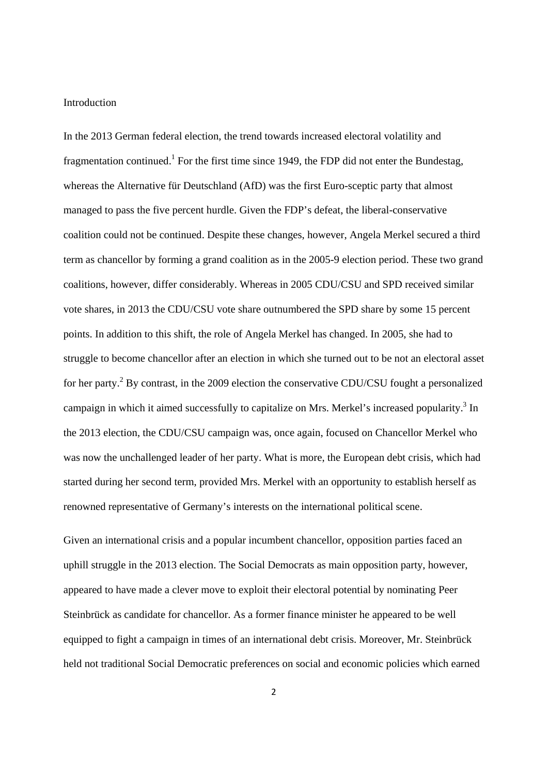#### Introduction

In the 2013 German federal election, the trend towards increased electoral volatility and fragmentation continued.<sup>1</sup> For the first time since 1949, the FDP did not enter the Bundestag, whereas the Alternative für Deutschland (AfD) was the first Euro-sceptic party that almost managed to pass the five percent hurdle. Given the FDP's defeat, the liberal-conservative coalition could not be continued. Despite these changes, however, Angela Merkel secured a third term as chancellor by forming a grand coalition as in the 2005-9 election period. These two grand coalitions, however, differ considerably. Whereas in 2005 CDU/CSU and SPD received similar vote shares, in 2013 the CDU/CSU vote share outnumbered the SPD share by some 15 percent points. In addition to this shift, the role of Angela Merkel has changed. In 2005, she had to struggle to become chancellor after an election in which she turned out to be not an electoral asset for her party.<sup>2</sup> By contrast, in the 2009 election the conservative CDU/CSU fought a personalized campaign in which it aimed successfully to capitalize on Mrs. Merkel's increased popularity.<sup>3</sup> In the 2013 election, the CDU/CSU campaign was, once again, focused on Chancellor Merkel who was now the unchallenged leader of her party. What is more, the European debt crisis, which had started during her second term, provided Mrs. Merkel with an opportunity to establish herself as renowned representative of Germany's interests on the international political scene.

Given an international crisis and a popular incumbent chancellor, opposition parties faced an uphill struggle in the 2013 election. The Social Democrats as main opposition party, however, appeared to have made a clever move to exploit their electoral potential by nominating Peer Steinbrück as candidate for chancellor. As a former finance minister he appeared to be well equipped to fight a campaign in times of an international debt crisis. Moreover, Mr. Steinbrück held not traditional Social Democratic preferences on social and economic policies which earned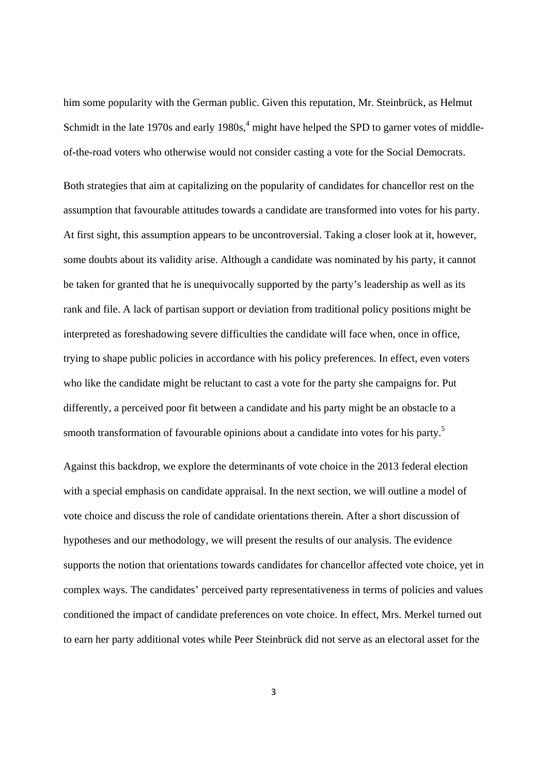him some popularity with the German public. Given this reputation, Mr. Steinbrück, as Helmut Schmidt in the late 1970s and early  $1980s$ ,<sup>4</sup> might have helped the SPD to garner votes of middleof-the-road voters who otherwise would not consider casting a vote for the Social Democrats.

Both strategies that aim at capitalizing on the popularity of candidates for chancellor rest on the assumption that favourable attitudes towards a candidate are transformed into votes for his party. At first sight, this assumption appears to be uncontroversial. Taking a closer look at it, however, some doubts about its validity arise. Although a candidate was nominated by his party, it cannot be taken for granted that he is unequivocally supported by the party's leadership as well as its rank and file. A lack of partisan support or deviation from traditional policy positions might be interpreted as foreshadowing severe difficulties the candidate will face when, once in office, trying to shape public policies in accordance with his policy preferences. In effect, even voters who like the candidate might be reluctant to cast a vote for the party she campaigns for. Put differently, a perceived poor fit between a candidate and his party might be an obstacle to a smooth transformation of favourable opinions about a candidate into votes for his party.<sup>5</sup>

Against this backdrop, we explore the determinants of vote choice in the 2013 federal election with a special emphasis on candidate appraisal. In the next section, we will outline a model of vote choice and discuss the role of candidate orientations therein. After a short discussion of hypotheses and our methodology, we will present the results of our analysis. The evidence supports the notion that orientations towards candidates for chancellor affected vote choice, yet in complex ways. The candidates' perceived party representativeness in terms of policies and values conditioned the impact of candidate preferences on vote choice. In effect, Mrs. Merkel turned out to earn her party additional votes while Peer Steinbrück did not serve as an electoral asset for the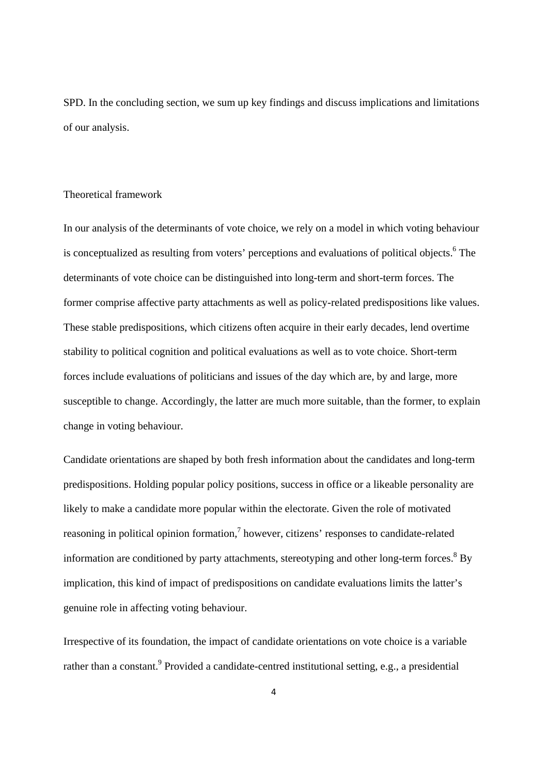SPD. In the concluding section, we sum up key findings and discuss implications and limitations of our analysis.

#### Theoretical framework

In our analysis of the determinants of vote choice, we rely on a model in which voting behaviour is conceptualized as resulting from voters' perceptions and evaluations of political objects. <sup>6</sup> The determinants of vote choice can be distinguished into long-term and short-term forces. The former comprise affective party attachments as well as policy-related predispositions like values. These stable predispositions, which citizens often acquire in their early decades, lend overtime stability to political cognition and political evaluations as well as to vote choice. Short-term forces include evaluations of politicians and issues of the day which are, by and large, more susceptible to change. Accordingly, the latter are much more suitable, than the former, to explain change in voting behaviour.

Candidate orientations are shaped by both fresh information about the candidates and long-term predispositions. Holding popular policy positions, success in office or a likeable personality are likely to make a candidate more popular within the electorate. Given the role of motivated reasoning in political opinion formation, $\frac{7}{1}$  however, citizens' responses to candidate-related information are conditioned by party attachments, stereotyping and other long-term forces.<sup>8</sup> By implication, this kind of impact of predispositions on candidate evaluations limits the latter's genuine role in affecting voting behaviour.

Irrespective of its foundation, the impact of candidate orientations on vote choice is a variable rather than a constant.<sup>9</sup> Provided a candidate-centred institutional setting, e.g., a presidential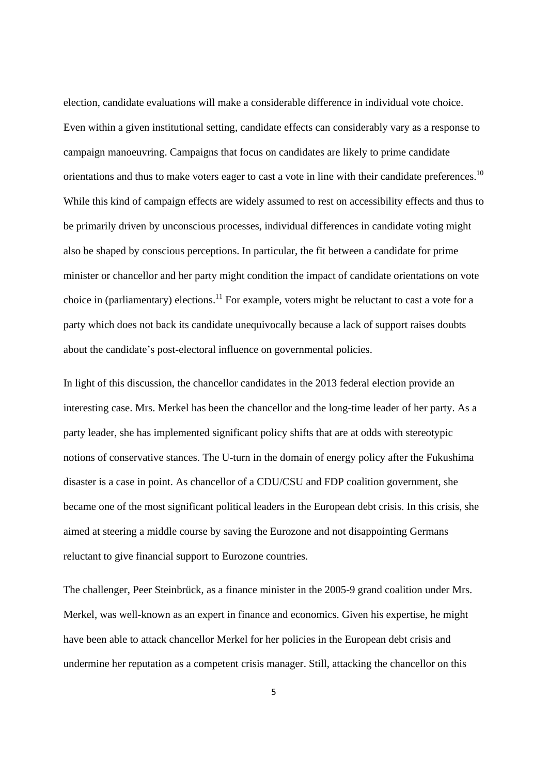election, candidate evaluations will make a considerable difference in individual vote choice. Even within a given institutional setting, candidate effects can considerably vary as a response to campaign manoeuvring. Campaigns that focus on candidates are likely to prime candidate orientations and thus to make voters eager to cast a vote in line with their candidate preferences.<sup>10</sup> While this kind of campaign effects are widely assumed to rest on accessibility effects and thus to be primarily driven by unconscious processes, individual differences in candidate voting might also be shaped by conscious perceptions. In particular, the fit between a candidate for prime minister or chancellor and her party might condition the impact of candidate orientations on vote choice in (parliamentary) elections.<sup>11</sup> For example, voters might be reluctant to cast a vote for a party which does not back its candidate unequivocally because a lack of support raises doubts about the candidate's post-electoral influence on governmental policies.

In light of this discussion, the chancellor candidates in the 2013 federal election provide an interesting case. Mrs. Merkel has been the chancellor and the long-time leader of her party. As a party leader, she has implemented significant policy shifts that are at odds with stereotypic notions of conservative stances. The U-turn in the domain of energy policy after the Fukushima disaster is a case in point. As chancellor of a CDU/CSU and FDP coalition government, she became one of the most significant political leaders in the European debt crisis. In this crisis, she aimed at steering a middle course by saving the Eurozone and not disappointing Germans reluctant to give financial support to Eurozone countries.

The challenger, Peer Steinbrück, as a finance minister in the 2005-9 grand coalition under Mrs. Merkel, was well-known as an expert in finance and economics. Given his expertise, he might have been able to attack chancellor Merkel for her policies in the European debt crisis and undermine her reputation as a competent crisis manager. Still, attacking the chancellor on this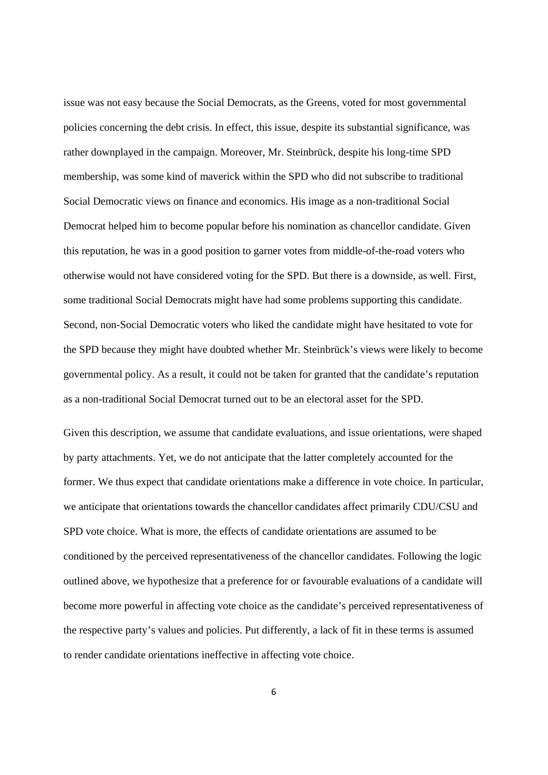issue was not easy because the Social Democrats, as the Greens, voted for most governmental policies concerning the debt crisis. In effect, this issue, despite its substantial significance, was rather downplayed in the campaign. Moreover, Mr. Steinbrück, despite his long-time SPD membership, was some kind of maverick within the SPD who did not subscribe to traditional Social Democratic views on finance and economics. His image as a non-traditional Social Democrat helped him to become popular before his nomination as chancellor candidate. Given this reputation, he was in a good position to garner votes from middle-of-the-road voters who otherwise would not have considered voting for the SPD. But there is a downside, as well. First, some traditional Social Democrats might have had some problems supporting this candidate. Second, non-Social Democratic voters who liked the candidate might have hesitated to vote for the SPD because they might have doubted whether Mr. Steinbrück's views were likely to become governmental policy. As a result, it could not be taken for granted that the candidate's reputation as a non-traditional Social Democrat turned out to be an electoral asset for the SPD.

Given this description, we assume that candidate evaluations, and issue orientations, were shaped by party attachments. Yet, we do not anticipate that the latter completely accounted for the former. We thus expect that candidate orientations make a difference in vote choice. In particular, we anticipate that orientations towards the chancellor candidates affect primarily CDU/CSU and SPD vote choice. What is more, the effects of candidate orientations are assumed to be conditioned by the perceived representativeness of the chancellor candidates. Following the logic outlined above, we hypothesize that a preference for or favourable evaluations of a candidate will become more powerful in affecting vote choice as the candidate's perceived representativeness of the respective party's values and policies. Put differently, a lack of fit in these terms is assumed to render candidate orientations ineffective in affecting vote choice.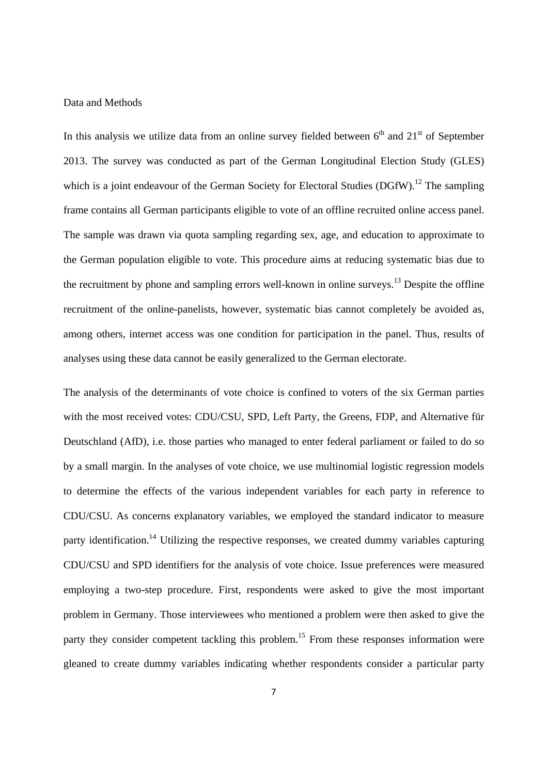#### Data and Methods

In this analysis we utilize data from an online survey fielded between  $6<sup>th</sup>$  and  $21<sup>st</sup>$  of September 2013. The survey was conducted as part of the German Longitudinal Election Study (GLES) which is a joint endeavour of the German Society for Electoral Studies (DGfW).<sup>12</sup> The sampling frame contains all German participants eligible to vote of an offline recruited online access panel. The sample was drawn via quota sampling regarding sex, age, and education to approximate to the German population eligible to vote. This procedure aims at reducing systematic bias due to the recruitment by phone and sampling errors well-known in online surveys.<sup>13</sup> Despite the offline recruitment of the online-panelists, however, systematic bias cannot completely be avoided as, among others, internet access was one condition for participation in the panel. Thus, results of analyses using these data cannot be easily generalized to the German electorate.

The analysis of the determinants of vote choice is confined to voters of the six German parties with the most received votes: CDU/CSU, SPD, Left Party, the Greens, FDP, and Alternative für Deutschland (AfD), i.e. those parties who managed to enter federal parliament or failed to do so by a small margin. In the analyses of vote choice, we use multinomial logistic regression models to determine the effects of the various independent variables for each party in reference to CDU/CSU. As concerns explanatory variables, we employed the standard indicator to measure party identification.<sup>14</sup> Utilizing the respective responses, we created dummy variables capturing CDU/CSU and SPD identifiers for the analysis of vote choice. Issue preferences were measured employing a two-step procedure. First, respondents were asked to give the most important problem in Germany. Those interviewees who mentioned a problem were then asked to give the party they consider competent tackling this problem.<sup>15</sup> From these responses information were gleaned to create dummy variables indicating whether respondents consider a particular party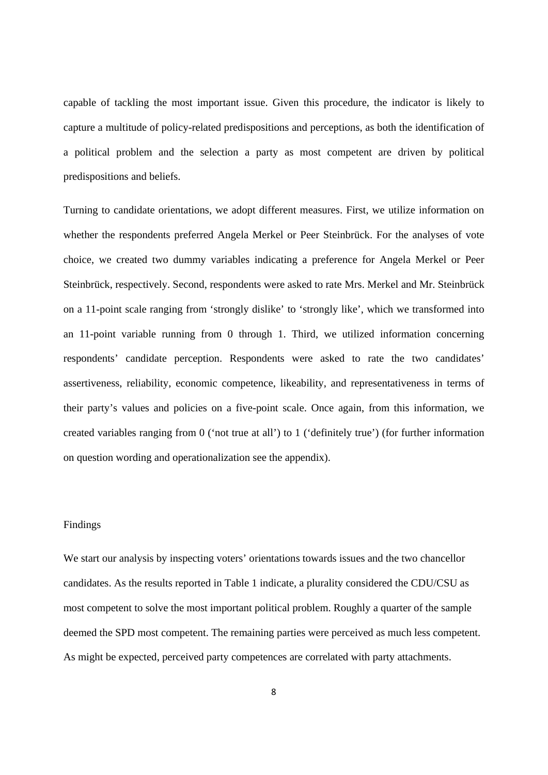capable of tackling the most important issue. Given this procedure, the indicator is likely to capture a multitude of policy-related predispositions and perceptions, as both the identification of a political problem and the selection a party as most competent are driven by political predispositions and beliefs.

Turning to candidate orientations, we adopt different measures. First, we utilize information on whether the respondents preferred Angela Merkel or Peer Steinbrück. For the analyses of vote choice, we created two dummy variables indicating a preference for Angela Merkel or Peer Steinbrück, respectively. Second, respondents were asked to rate Mrs. Merkel and Mr. Steinbrück on a 11-point scale ranging from 'strongly dislike' to 'strongly like', which we transformed into an 11-point variable running from 0 through 1. Third, we utilized information concerning respondents' candidate perception. Respondents were asked to rate the two candidates' assertiveness, reliability, economic competence, likeability, and representativeness in terms of their party's values and policies on a five-point scale. Once again, from this information, we created variables ranging from 0 ('not true at all') to 1 ('definitely true') (for further information on question wording and operationalization see the appendix).

## Findings

We start our analysis by inspecting voters' orientations towards issues and the two chancellor candidates. As the results reported in Table 1 indicate, a plurality considered the CDU/CSU as most competent to solve the most important political problem. Roughly a quarter of the sample deemed the SPD most competent. The remaining parties were perceived as much less competent. As might be expected, perceived party competences are correlated with party attachments.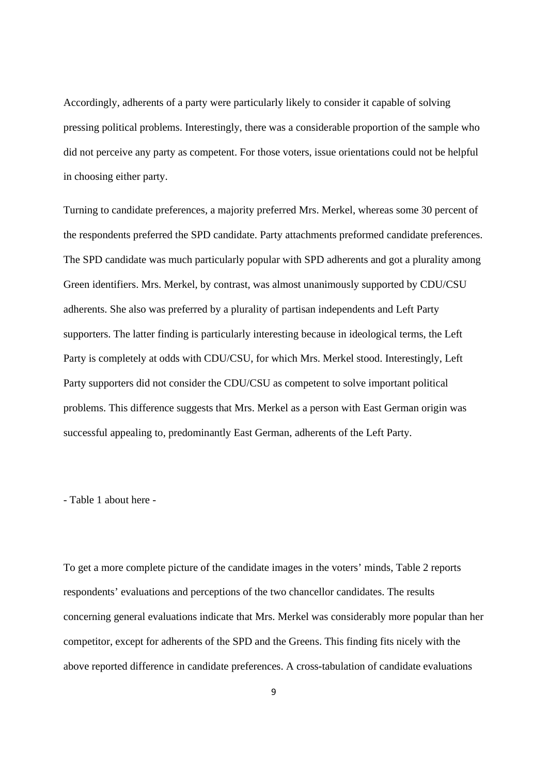Accordingly, adherents of a party were particularly likely to consider it capable of solving pressing political problems. Interestingly, there was a considerable proportion of the sample who did not perceive any party as competent. For those voters, issue orientations could not be helpful in choosing either party.

Turning to candidate preferences, a majority preferred Mrs. Merkel, whereas some 30 percent of the respondents preferred the SPD candidate. Party attachments preformed candidate preferences. The SPD candidate was much particularly popular with SPD adherents and got a plurality among Green identifiers. Mrs. Merkel, by contrast, was almost unanimously supported by CDU/CSU adherents. She also was preferred by a plurality of partisan independents and Left Party supporters. The latter finding is particularly interesting because in ideological terms, the Left Party is completely at odds with CDU/CSU, for which Mrs. Merkel stood. Interestingly, Left Party supporters did not consider the CDU/CSU as competent to solve important political problems. This difference suggests that Mrs. Merkel as a person with East German origin was successful appealing to, predominantly East German, adherents of the Left Party.

- Table 1 about here -

To get a more complete picture of the candidate images in the voters' minds, Table 2 reports respondents' evaluations and perceptions of the two chancellor candidates. The results concerning general evaluations indicate that Mrs. Merkel was considerably more popular than her competitor, except for adherents of the SPD and the Greens. This finding fits nicely with the above reported difference in candidate preferences. A cross-tabulation of candidate evaluations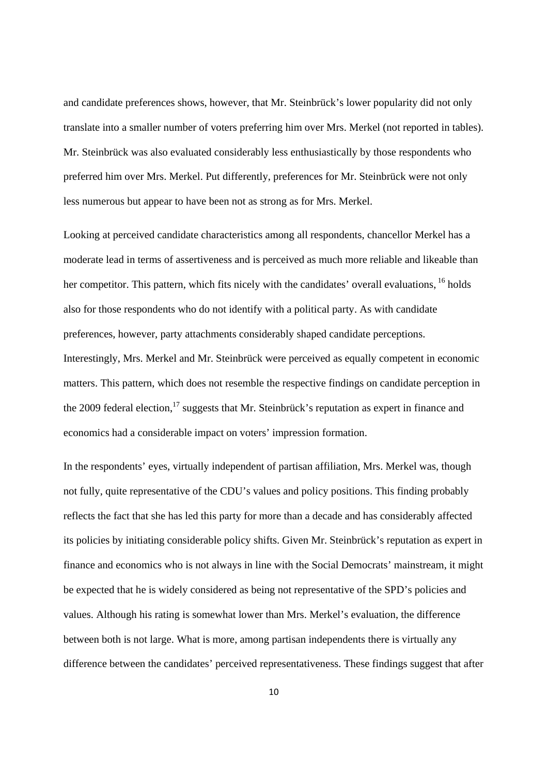and candidate preferences shows, however, that Mr. Steinbrück's lower popularity did not only translate into a smaller number of voters preferring him over Mrs. Merkel (not reported in tables). Mr. Steinbrück was also evaluated considerably less enthusiastically by those respondents who preferred him over Mrs. Merkel. Put differently, preferences for Mr. Steinbrück were not only less numerous but appear to have been not as strong as for Mrs. Merkel.

Looking at perceived candidate characteristics among all respondents, chancellor Merkel has a moderate lead in terms of assertiveness and is perceived as much more reliable and likeable than her competitor. This pattern, which fits nicely with the candidates' overall evaluations, <sup>16</sup> holds also for those respondents who do not identify with a political party. As with candidate preferences, however, party attachments considerably shaped candidate perceptions. Interestingly, Mrs. Merkel and Mr. Steinbrück were perceived as equally competent in economic matters. This pattern, which does not resemble the respective findings on candidate perception in the 2009 federal election,  $^{17}$  suggests that Mr. Steinbrück's reputation as expert in finance and economics had a considerable impact on voters' impression formation.

In the respondents' eyes, virtually independent of partisan affiliation, Mrs. Merkel was, though not fully, quite representative of the CDU's values and policy positions. This finding probably reflects the fact that she has led this party for more than a decade and has considerably affected its policies by initiating considerable policy shifts. Given Mr. Steinbrück's reputation as expert in finance and economics who is not always in line with the Social Democrats' mainstream, it might be expected that he is widely considered as being not representative of the SPD's policies and values. Although his rating is somewhat lower than Mrs. Merkel's evaluation, the difference between both is not large. What is more, among partisan independents there is virtually any difference between the candidates' perceived representativeness. These findings suggest that after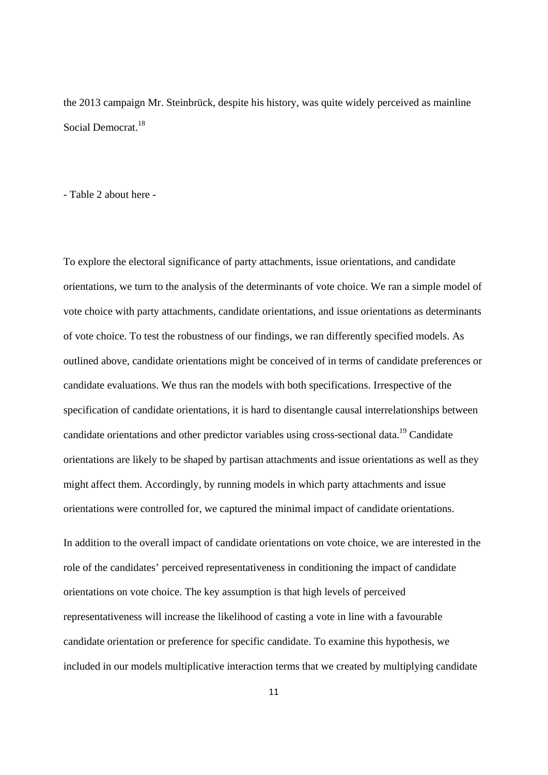the 2013 campaign Mr. Steinbrück, despite his history, was quite widely perceived as mainline Social Democrat.<sup>18</sup>

- Table 2 about here -

To explore the electoral significance of party attachments, issue orientations, and candidate orientations, we turn to the analysis of the determinants of vote choice. We ran a simple model of vote choice with party attachments, candidate orientations, and issue orientations as determinants of vote choice. To test the robustness of our findings, we ran differently specified models. As outlined above, candidate orientations might be conceived of in terms of candidate preferences or candidate evaluations. We thus ran the models with both specifications. Irrespective of the specification of candidate orientations, it is hard to disentangle causal interrelationships between candidate orientations and other predictor variables using cross-sectional data.<sup>19</sup> Candidate orientations are likely to be shaped by partisan attachments and issue orientations as well as they might affect them. Accordingly, by running models in which party attachments and issue orientations were controlled for, we captured the minimal impact of candidate orientations.

In addition to the overall impact of candidate orientations on vote choice, we are interested in the role of the candidates' perceived representativeness in conditioning the impact of candidate orientations on vote choice. The key assumption is that high levels of perceived representativeness will increase the likelihood of casting a vote in line with a favourable candidate orientation or preference for specific candidate. To examine this hypothesis, we included in our models multiplicative interaction terms that we created by multiplying candidate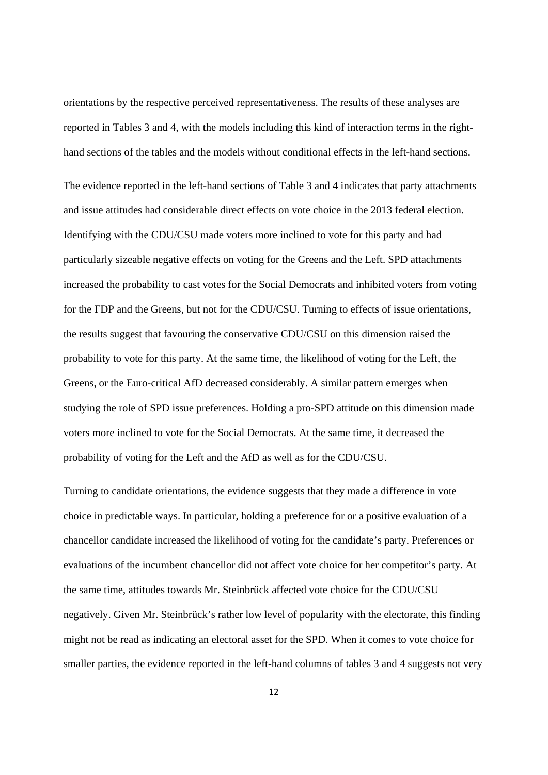orientations by the respective perceived representativeness. The results of these analyses are reported in Tables 3 and 4, with the models including this kind of interaction terms in the righthand sections of the tables and the models without conditional effects in the left-hand sections.

The evidence reported in the left-hand sections of Table 3 and 4 indicates that party attachments and issue attitudes had considerable direct effects on vote choice in the 2013 federal election. Identifying with the CDU/CSU made voters more inclined to vote for this party and had particularly sizeable negative effects on voting for the Greens and the Left. SPD attachments increased the probability to cast votes for the Social Democrats and inhibited voters from voting for the FDP and the Greens, but not for the CDU/CSU. Turning to effects of issue orientations, the results suggest that favouring the conservative CDU/CSU on this dimension raised the probability to vote for this party. At the same time, the likelihood of voting for the Left, the Greens, or the Euro-critical AfD decreased considerably. A similar pattern emerges when studying the role of SPD issue preferences. Holding a pro-SPD attitude on this dimension made voters more inclined to vote for the Social Democrats. At the same time, it decreased the probability of voting for the Left and the AfD as well as for the CDU/CSU.

Turning to candidate orientations, the evidence suggests that they made a difference in vote choice in predictable ways. In particular, holding a preference for or a positive evaluation of a chancellor candidate increased the likelihood of voting for the candidate's party. Preferences or evaluations of the incumbent chancellor did not affect vote choice for her competitor's party. At the same time, attitudes towards Mr. Steinbrück affected vote choice for the CDU/CSU negatively. Given Mr. Steinbrück's rather low level of popularity with the electorate, this finding might not be read as indicating an electoral asset for the SPD. When it comes to vote choice for smaller parties, the evidence reported in the left-hand columns of tables 3 and 4 suggests not very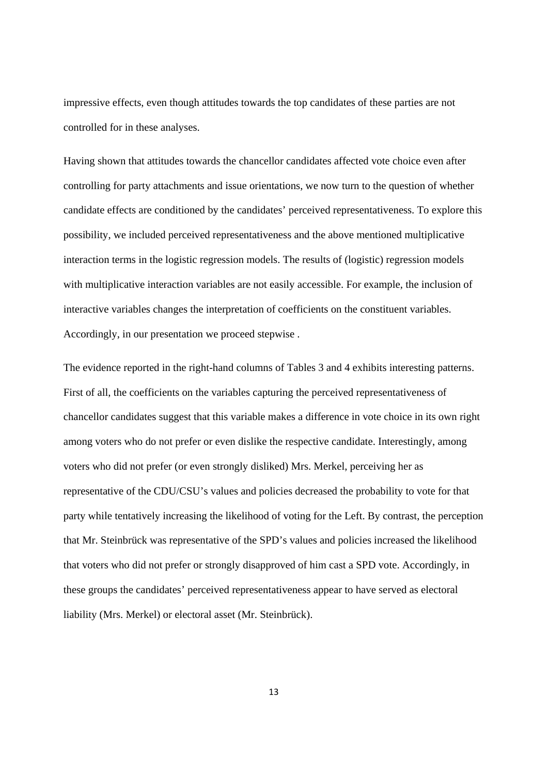impressive effects, even though attitudes towards the top candidates of these parties are not controlled for in these analyses.

Having shown that attitudes towards the chancellor candidates affected vote choice even after controlling for party attachments and issue orientations, we now turn to the question of whether candidate effects are conditioned by the candidates' perceived representativeness. To explore this possibility, we included perceived representativeness and the above mentioned multiplicative interaction terms in the logistic regression models. The results of (logistic) regression models with multiplicative interaction variables are not easily accessible. For example, the inclusion of interactive variables changes the interpretation of coefficients on the constituent variables. Accordingly, in our presentation we proceed stepwise .

The evidence reported in the right-hand columns of Tables 3 and 4 exhibits interesting patterns. First of all, the coefficients on the variables capturing the perceived representativeness of chancellor candidates suggest that this variable makes a difference in vote choice in its own right among voters who do not prefer or even dislike the respective candidate. Interestingly, among voters who did not prefer (or even strongly disliked) Mrs. Merkel, perceiving her as representative of the CDU/CSU's values and policies decreased the probability to vote for that party while tentatively increasing the likelihood of voting for the Left. By contrast, the perception that Mr. Steinbrück was representative of the SPD's values and policies increased the likelihood that voters who did not prefer or strongly disapproved of him cast a SPD vote. Accordingly, in these groups the candidates' perceived representativeness appear to have served as electoral liability (Mrs. Merkel) or electoral asset (Mr. Steinbrück).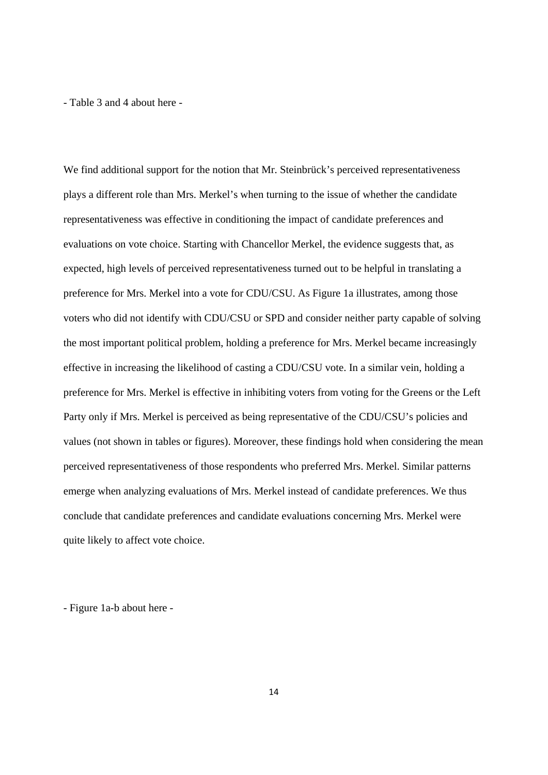- Table 3 and 4 about here -

We find additional support for the notion that Mr. Steinbrück's perceived representativeness plays a different role than Mrs. Merkel's when turning to the issue of whether the candidate representativeness was effective in conditioning the impact of candidate preferences and evaluations on vote choice. Starting with Chancellor Merkel, the evidence suggests that, as expected, high levels of perceived representativeness turned out to be helpful in translating a preference for Mrs. Merkel into a vote for CDU/CSU. As Figure 1a illustrates, among those voters who did not identify with CDU/CSU or SPD and consider neither party capable of solving the most important political problem, holding a preference for Mrs. Merkel became increasingly effective in increasing the likelihood of casting a CDU/CSU vote. In a similar vein, holding a preference for Mrs. Merkel is effective in inhibiting voters from voting for the Greens or the Left Party only if Mrs. Merkel is perceived as being representative of the CDU/CSU's policies and values (not shown in tables or figures). Moreover, these findings hold when considering the mean perceived representativeness of those respondents who preferred Mrs. Merkel. Similar patterns emerge when analyzing evaluations of Mrs. Merkel instead of candidate preferences. We thus conclude that candidate preferences and candidate evaluations concerning Mrs. Merkel were quite likely to affect vote choice.

- Figure 1a-b about here -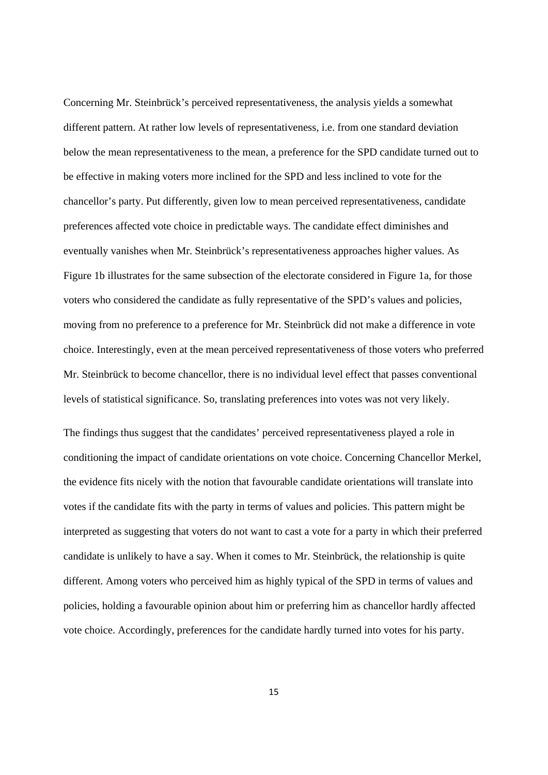Concerning Mr. Steinbrück's perceived representativeness, the analysis yields a somewhat different pattern. At rather low levels of representativeness, i.e. from one standard deviation below the mean representativeness to the mean, a preference for the SPD candidate turned out to be effective in making voters more inclined for the SPD and less inclined to vote for the chancellor's party. Put differently, given low to mean perceived representativeness, candidate preferences affected vote choice in predictable ways. The candidate effect diminishes and eventually vanishes when Mr. Steinbrück's representativeness approaches higher values. As Figure 1b illustrates for the same subsection of the electorate considered in Figure 1a, for those voters who considered the candidate as fully representative of the SPD's values and policies, moving from no preference to a preference for Mr. Steinbrück did not make a difference in vote choice. Interestingly, even at the mean perceived representativeness of those voters who preferred Mr. Steinbrück to become chancellor, there is no individual level effect that passes conventional levels of statistical significance. So, translating preferences into votes was not very likely.

The findings thus suggest that the candidates' perceived representativeness played a role in conditioning the impact of candidate orientations on vote choice. Concerning Chancellor Merkel, the evidence fits nicely with the notion that favourable candidate orientations will translate into votes if the candidate fits with the party in terms of values and policies. This pattern might be interpreted as suggesting that voters do not want to cast a vote for a party in which their preferred candidate is unlikely to have a say. When it comes to Mr. Steinbrück, the relationship is quite different. Among voters who perceived him as highly typical of the SPD in terms of values and policies, holding a favourable opinion about him or preferring him as chancellor hardly affected vote choice. Accordingly, preferences for the candidate hardly turned into votes for his party.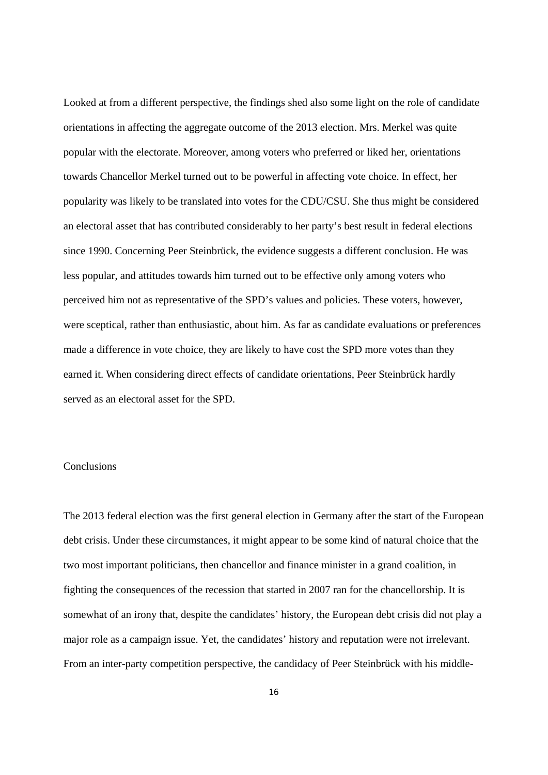Looked at from a different perspective, the findings shed also some light on the role of candidate orientations in affecting the aggregate outcome of the 2013 election. Mrs. Merkel was quite popular with the electorate. Moreover, among voters who preferred or liked her, orientations towards Chancellor Merkel turned out to be powerful in affecting vote choice. In effect, her popularity was likely to be translated into votes for the CDU/CSU. She thus might be considered an electoral asset that has contributed considerably to her party's best result in federal elections since 1990. Concerning Peer Steinbrück, the evidence suggests a different conclusion. He was less popular, and attitudes towards him turned out to be effective only among voters who perceived him not as representative of the SPD's values and policies. These voters, however, were sceptical, rather than enthusiastic, about him. As far as candidate evaluations or preferences made a difference in vote choice, they are likely to have cost the SPD more votes than they earned it. When considering direct effects of candidate orientations, Peer Steinbrück hardly served as an electoral asset for the SPD.

# **Conclusions**

The 2013 federal election was the first general election in Germany after the start of the European debt crisis. Under these circumstances, it might appear to be some kind of natural choice that the two most important politicians, then chancellor and finance minister in a grand coalition, in fighting the consequences of the recession that started in 2007 ran for the chancellorship. It is somewhat of an irony that, despite the candidates' history, the European debt crisis did not play a major role as a campaign issue. Yet, the candidates' history and reputation were not irrelevant. From an inter-party competition perspective, the candidacy of Peer Steinbrück with his middle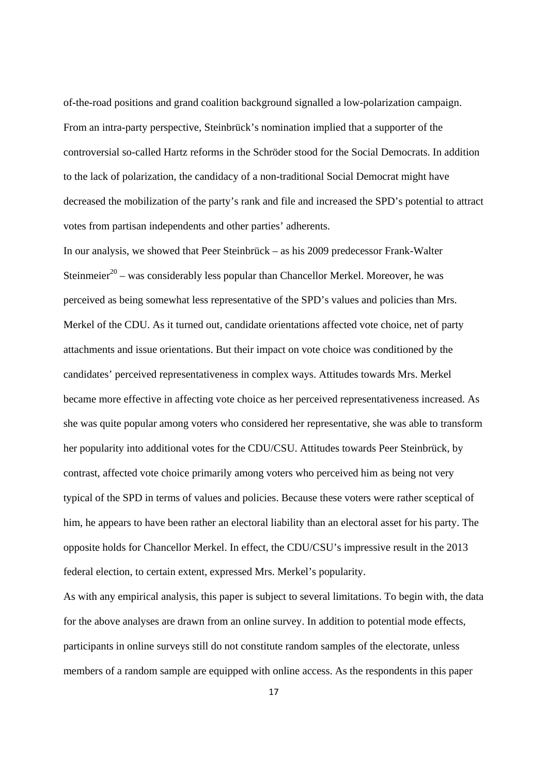of-the-road positions and grand coalition background signalled a low-polarization campaign. From an intra-party perspective, Steinbrück's nomination implied that a supporter of the controversial so-called Hartz reforms in the Schröder stood for the Social Democrats. In addition to the lack of polarization, the candidacy of a non-traditional Social Democrat might have decreased the mobilization of the party's rank and file and increased the SPD's potential to attract votes from partisan independents and other parties' adherents.

In our analysis, we showed that Peer Steinbrück – as his 2009 predecessor Frank-Walter Steinmeier<sup>20</sup> – was considerably less popular than Chancellor Merkel. Moreover, he was perceived as being somewhat less representative of the SPD's values and policies than Mrs. Merkel of the CDU. As it turned out, candidate orientations affected vote choice, net of party attachments and issue orientations. But their impact on vote choice was conditioned by the candidates' perceived representativeness in complex ways. Attitudes towards Mrs. Merkel became more effective in affecting vote choice as her perceived representativeness increased. As she was quite popular among voters who considered her representative, she was able to transform her popularity into additional votes for the CDU/CSU. Attitudes towards Peer Steinbrück, by contrast, affected vote choice primarily among voters who perceived him as being not very typical of the SPD in terms of values and policies. Because these voters were rather sceptical of him, he appears to have been rather an electoral liability than an electoral asset for his party. The opposite holds for Chancellor Merkel. In effect, the CDU/CSU's impressive result in the 2013 federal election, to certain extent, expressed Mrs. Merkel's popularity.

As with any empirical analysis, this paper is subject to several limitations. To begin with, the data for the above analyses are drawn from an online survey. In addition to potential mode effects, participants in online surveys still do not constitute random samples of the electorate, unless members of a random sample are equipped with online access. As the respondents in this paper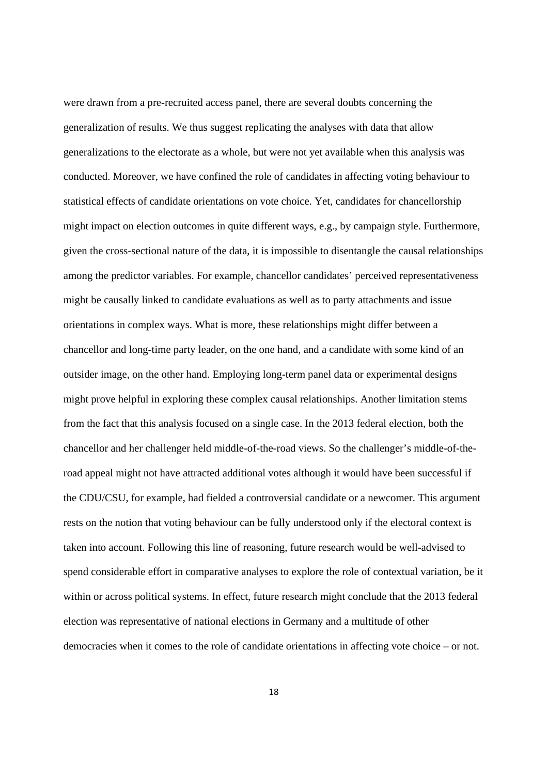were drawn from a pre-recruited access panel, there are several doubts concerning the generalization of results. We thus suggest replicating the analyses with data that allow generalizations to the electorate as a whole, but were not yet available when this analysis was conducted. Moreover, we have confined the role of candidates in affecting voting behaviour to statistical effects of candidate orientations on vote choice. Yet, candidates for chancellorship might impact on election outcomes in quite different ways, e.g., by campaign style. Furthermore, given the cross-sectional nature of the data, it is impossible to disentangle the causal relationships among the predictor variables. For example, chancellor candidates' perceived representativeness might be causally linked to candidate evaluations as well as to party attachments and issue orientations in complex ways. What is more, these relationships might differ between a chancellor and long-time party leader, on the one hand, and a candidate with some kind of an outsider image, on the other hand. Employing long-term panel data or experimental designs might prove helpful in exploring these complex causal relationships. Another limitation stems from the fact that this analysis focused on a single case. In the 2013 federal election, both the chancellor and her challenger held middle-of-the-road views. So the challenger's middle-of-theroad appeal might not have attracted additional votes although it would have been successful if the CDU/CSU, for example, had fielded a controversial candidate or a newcomer. This argument rests on the notion that voting behaviour can be fully understood only if the electoral context is taken into account. Following this line of reasoning, future research would be well-advised to spend considerable effort in comparative analyses to explore the role of contextual variation, be it within or across political systems. In effect, future research might conclude that the 2013 federal election was representative of national elections in Germany and a multitude of other democracies when it comes to the role of candidate orientations in affecting vote choice – or not.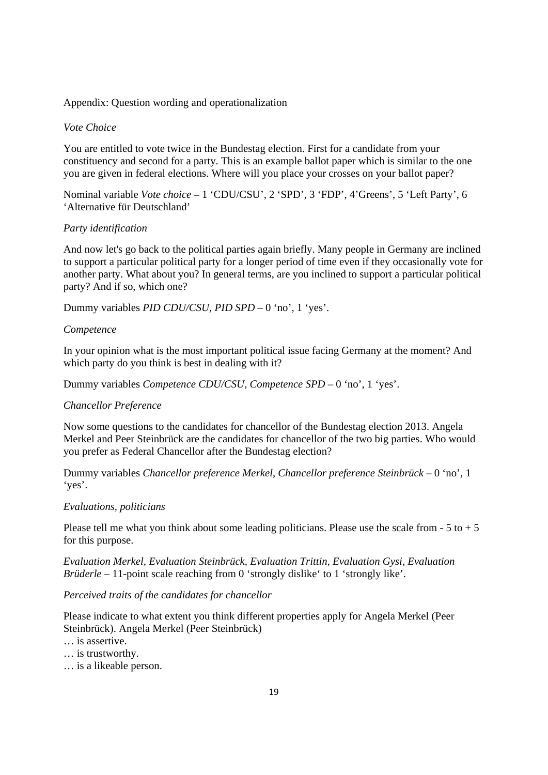# Appendix: Question wording and operationalization

## *Vote Choice*

You are entitled to vote twice in the Bundestag election. First for a candidate from your constituency and second for a party. This is an example ballot paper which is similar to the one you are given in federal elections. Where will you place your crosses on your ballot paper?

Nominal variable *Vote choice* – 1 'CDU/CSU', 2 'SPD', 3 'FDP', 4'Greens', 5 'Left Party', 6 'Alternative für Deutschland'

## *Party identification*

And now let's go back to the political parties again briefly. Many people in Germany are inclined to support a particular political party for a longer period of time even if they occasionally vote for another party. What about you? In general terms, are you inclined to support a particular political party? And if so, which one?

Dummy variables *PID CDU/CSU*, *PID SPD* – 0 'no', 1 'yes'.

#### *Competence*

In your opinion what is the most important political issue facing Germany at the moment? And which party do you think is best in dealing with it?

Dummy variables *Competence CDU/CSU*, *Competence SPD* – 0 'no', 1 'yes'.

# *Chancellor Preference*

Now some questions to the candidates for chancellor of the Bundestag election 2013. Angela Merkel and Peer Steinbrück are the candidates for chancellor of the two big parties. Who would you prefer as Federal Chancellor after the Bundestag election?

Dummy variables *Chancellor preference Merkel*, *Chancellor preference Steinbrück* – 0 'no', 1 'yes'.

#### *Evaluations, politicians*

Please tell me what you think about some leading politicians. Please use the scale from  $-5$  to  $+5$ for this purpose.

*Evaluation Merkel, Evaluation Steinbrück, Evaluation Trittin, Evaluation Gysi, Evaluation Brüderle* – 11-point scale reaching from 0 'strongly dislike' to 1 'strongly like'.

# *Perceived traits of the candidates for chancellor*

Please indicate to what extent you think different properties apply for Angela Merkel (Peer Steinbrück). Angela Merkel (Peer Steinbrück)

- … is assertive.
- … is trustworthy.
- … is a likeable person.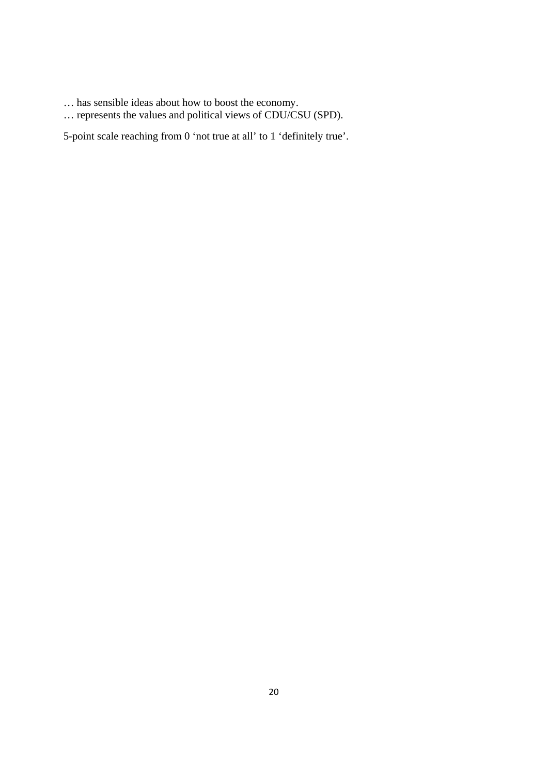- … has sensible ideas about how to boost the economy.
- … represents the values and political views of CDU/CSU (SPD).

5-point scale reaching from 0 'not true at all' to 1 'definitely true'.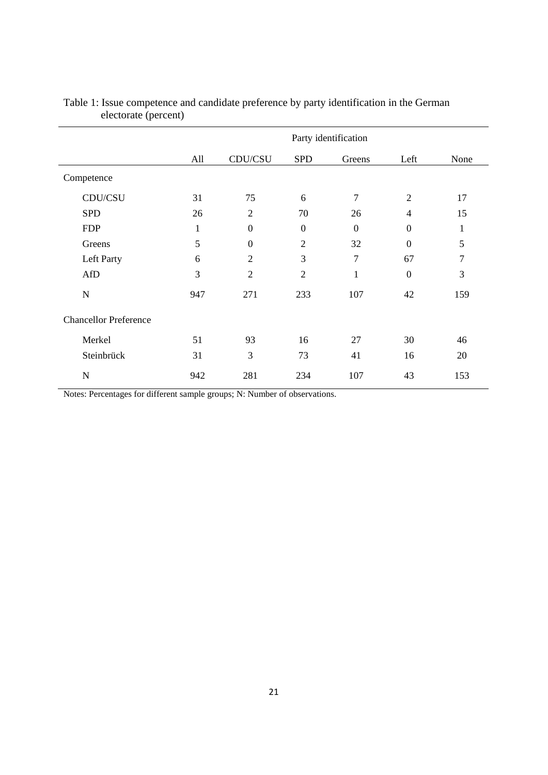|                              | Party identification |                  |                  |                  |                  |      |  |  |
|------------------------------|----------------------|------------------|------------------|------------------|------------------|------|--|--|
|                              | CDU/CSU<br>All       |                  | <b>SPD</b>       | Greens           | Left             | None |  |  |
| Competence                   |                      |                  |                  |                  |                  |      |  |  |
| CDU/CSU                      | 31                   | 75               | 6                | 7                | $\mathfrak{2}$   | 17   |  |  |
| <b>SPD</b>                   | 26                   | $\overline{2}$   | 70               | 26               | $\overline{4}$   | 15   |  |  |
| <b>FDP</b>                   | $\mathbf{1}$         | $\boldsymbol{0}$ | $\boldsymbol{0}$ | $\boldsymbol{0}$ | $\boldsymbol{0}$ | 1    |  |  |
| Greens                       | 5                    | $\boldsymbol{0}$ | $\overline{2}$   | 32               | $\mathbf{0}$     | 5    |  |  |
| Left Party                   | 6                    | $\overline{2}$   | 3                | $\overline{7}$   | 67               | 7    |  |  |
| AfD                          | $\overline{3}$       | $\overline{2}$   | $\overline{2}$   | $\mathbf{1}$     | $\boldsymbol{0}$ | 3    |  |  |
| N                            | 947                  | 271              | 233              | 107              | 42               | 159  |  |  |
| <b>Chancellor Preference</b> |                      |                  |                  |                  |                  |      |  |  |
| Merkel                       | 51                   | 93               | 16               | 27               | 30               | 46   |  |  |
| Steinbrück                   | 31                   | 3                | 73               | 41               | 16               | 20   |  |  |
| N                            | 942                  | 281              | 234              | 107              | 43               | 153  |  |  |

# Table 1: Issue competence and candidate preference by party identification in the German electorate (percent)

Notes: Percentages for different sample groups; N: Number of observations.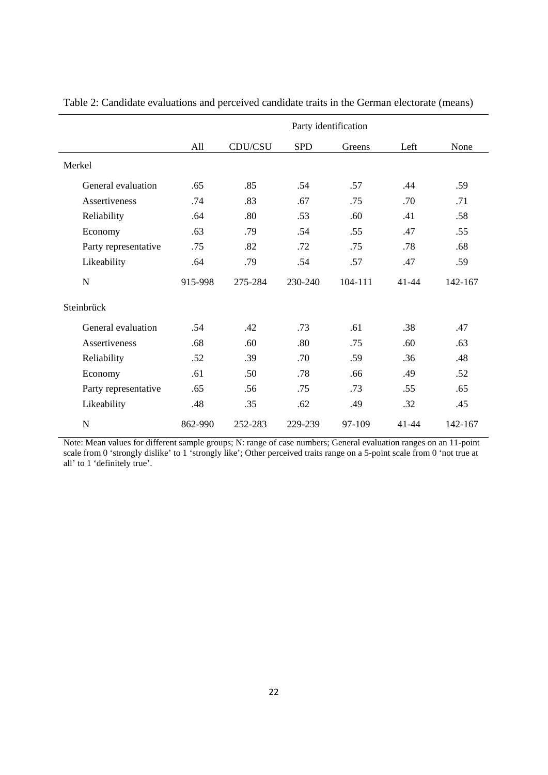|                      | Party identification |         |            |         |           |         |  |  |
|----------------------|----------------------|---------|------------|---------|-----------|---------|--|--|
|                      | All                  | CDU/CSU | <b>SPD</b> | Greens  | Left      | None    |  |  |
| Merkel               |                      |         |            |         |           |         |  |  |
| General evaluation   | .65                  | .85     | .54        | .57     | .44       | .59     |  |  |
| Assertiveness        | .74                  | .83     | .67        | .75     | .70       | .71     |  |  |
| Reliability          | .64                  | .80     | .53        | .60     | .41       | .58     |  |  |
| Economy              | .63                  | .79     | .54        | .55     | .47       | .55     |  |  |
| Party representative | .75                  | .82     | .72        | .75     | .78       | .68     |  |  |
| Likeability          | .64                  | .79     | .54        | .57     | .47       | .59     |  |  |
| $\mathbf N$          | 915-998              | 275-284 | 230-240    | 104-111 | $41 - 44$ | 142-167 |  |  |
| Steinbrück           |                      |         |            |         |           |         |  |  |
| General evaluation   | .54                  | .42     | .73        | .61     | .38       | .47     |  |  |
| Assertiveness        | .68                  | .60     | .80        | .75     | .60       | .63     |  |  |
| Reliability          | .52                  | .39     | .70        | .59     | .36       | .48     |  |  |
| Economy              | .61                  | .50     | .78        | .66     | .49       | .52     |  |  |
| Party representative | .65                  | .56     | .75        | .73     | .55       | .65     |  |  |
| Likeability          | .48                  | .35     | .62        | .49     | .32       | .45     |  |  |
| $\mathbf N$          | 862-990              | 252-283 | 229-239    | 97-109  | $41 - 44$ | 142-167 |  |  |

Table 2: Candidate evaluations and perceived candidate traits in the German electorate (means)

Note: Mean values for different sample groups; N: range of case numbers; General evaluation ranges on an 11-point scale from 0 'strongly dislike' to 1 'strongly like'; Other perceived traits range on a 5-point scale from 0 'not true at all' to 1 'definitely true'.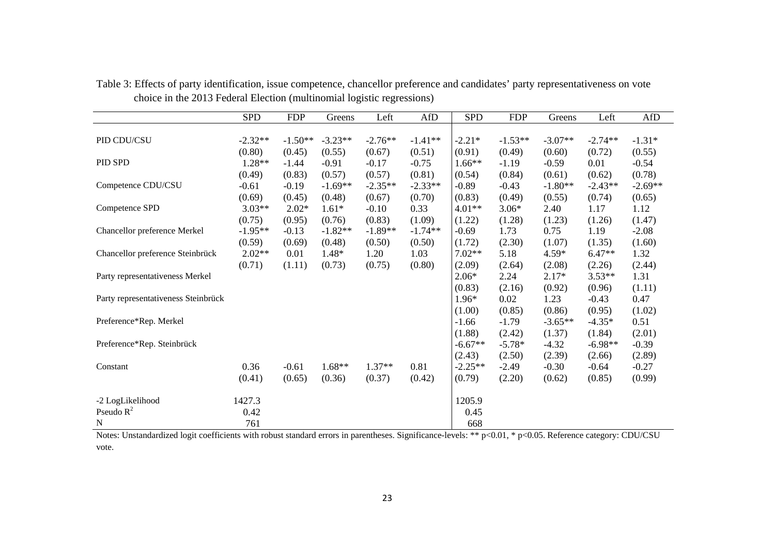|                                     | <b>SPD</b> | <b>FDP</b> | Greens    | Left      | AfD       | <b>SPD</b> | <b>FDP</b> | Greens    | Left      | AfD       |
|-------------------------------------|------------|------------|-----------|-----------|-----------|------------|------------|-----------|-----------|-----------|
|                                     |            |            |           |           |           |            |            |           |           |           |
| PID CDU/CSU                         | $-2.32**$  | $-1.50**$  | $-3.23**$ | $-2.76**$ | $-1.41**$ | $-2.21*$   | $-1.53**$  | $-3.07**$ | $-2.74**$ | $-1.31*$  |
|                                     | (0.80)     | (0.45)     | (0.55)    | (0.67)    | (0.51)    | (0.91)     | (0.49)     | (0.60)    | (0.72)    | (0.55)    |
| PID SPD                             | 1.28**     | $-1.44$    | $-0.91$   | $-0.17$   | $-0.75$   | $1.66**$   | $-1.19$    | $-0.59$   | 0.01      | $-0.54$   |
|                                     | (0.49)     | (0.83)     | (0.57)    | (0.57)    | (0.81)    | (0.54)     | (0.84)     | (0.61)    | (0.62)    | (0.78)    |
| Competence CDU/CSU                  | $-0.61$    | $-0.19$    | $-1.69**$ | $-2.35**$ | $-2.33**$ | $-0.89$    | $-0.43$    | $-1.80**$ | $-2.43**$ | $-2.69**$ |
|                                     | (0.69)     | (0.45)     | (0.48)    | (0.67)    | (0.70)    | (0.83)     | (0.49)     | (0.55)    | (0.74)    | (0.65)    |
| Competence SPD                      | $3.03**$   | $2.02*$    | $1.61*$   | $-0.10$   | 0.33      | $4.01**$   | $3.06*$    | 2.40      | 1.17      | 1.12      |
|                                     | (0.75)     | (0.95)     | (0.76)    | (0.83)    | (1.09)    | (1.22)     | (1.28)     | (1.23)    | (1.26)    | (1.47)    |
| Chancellor preference Merkel        | $-1.95**$  | $-0.13$    | $-1.82**$ | $-1.89**$ | $-1.74**$ | $-0.69$    | 1.73       | 0.75      | 1.19      | $-2.08$   |
|                                     | (0.59)     | (0.69)     | (0.48)    | (0.50)    | (0.50)    | (1.72)     | (2.30)     | (1.07)    | (1.35)    | (1.60)    |
| Chancellor preference Steinbrück    | $2.02**$   | 0.01       | $1.48*$   | 1.20      | 1.03      | $7.02**$   | 5.18       | $4.59*$   | $6.47**$  | 1.32      |
|                                     | (0.71)     | (1.11)     | (0.73)    | (0.75)    | (0.80)    | (2.09)     | (2.64)     | (2.08)    | (2.26)    | (2.44)    |
| Party representativeness Merkel     |            |            |           |           |           | $2.06*$    | 2.24       | $2.17*$   | $3.53**$  | 1.31      |
|                                     |            |            |           |           |           | (0.83)     | (2.16)     | (0.92)    | (0.96)    | (1.11)    |
| Party representativeness Steinbrück |            |            |           |           |           | $1.96*$    | 0.02       | 1.23      | $-0.43$   | 0.47      |
|                                     |            |            |           |           |           | (1.00)     | (0.85)     | (0.86)    | (0.95)    | (1.02)    |
| Preference*Rep. Merkel              |            |            |           |           |           | $-1.66$    | $-1.79$    | $-3.65**$ | $-4.35*$  | 0.51      |
|                                     |            |            |           |           |           | (1.88)     | (2.42)     | (1.37)    | (1.84)    | (2.01)    |
| Preference*Rep. Steinbrück          |            |            |           |           |           | $-6.67**$  | $-5.78*$   | $-4.32$   | $-6.98**$ | $-0.39$   |
|                                     |            |            |           |           |           | (2.43)     | (2.50)     | (2.39)    | (2.66)    | (2.89)    |
| Constant                            | 0.36       | $-0.61$    | $1.68**$  | $1.37**$  | 0.81      | $-2.25**$  | $-2.49$    | $-0.30$   | $-0.64$   | $-0.27$   |
|                                     | (0.41)     | (0.65)     | (0.36)    | (0.37)    | (0.42)    | (0.79)     | (2.20)     | (0.62)    | (0.85)    | (0.99)    |
| -2 LogLikelihood                    | 1427.3     |            |           |           |           | 1205.9     |            |           |           |           |
| Pseudo $R^2$                        | 0.42       |            |           |           |           | 0.45       |            |           |           |           |
| $\mathbf N$                         | 761        |            |           |           |           | 668        |            |           |           |           |

Table 3: Effects of party identification, issue competence, chancellor preference and candidates' party representativeness on vote choice in the 2013 Federal Election (multinomial logistic regressions)

Notes: Unstandardized logit coefficients with robust standard errors in parentheses. Significance-levels: \*\* p<0.01, \* p<0.05. Reference category: CDU/CSU vote.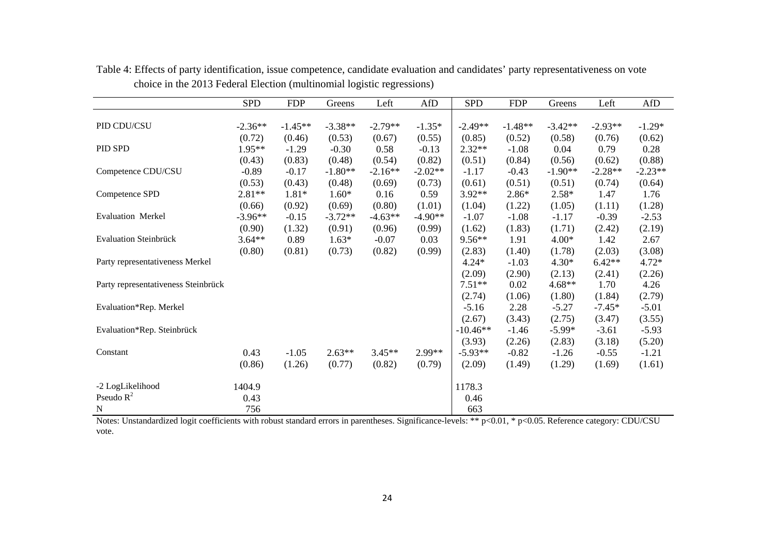|                                                                                                                                                                 | <b>SPD</b> | <b>FDP</b> | Greens    | Left      | AfD       | <b>SPD</b> | <b>FDP</b> | Greens    | Left      | AfD       |
|-----------------------------------------------------------------------------------------------------------------------------------------------------------------|------------|------------|-----------|-----------|-----------|------------|------------|-----------|-----------|-----------|
|                                                                                                                                                                 |            |            |           |           |           |            |            |           |           |           |
| PID CDU/CSU                                                                                                                                                     | $-2.36**$  | $-1.45**$  | $-3.38**$ | $-2.79**$ | $-1.35*$  | $-2.49**$  | $-1.48**$  | $-3.42**$ | $-2.93**$ | $-1.29*$  |
|                                                                                                                                                                 | (0.72)     | (0.46)     | (0.53)    | (0.67)    | (0.55)    | (0.85)     | (0.52)     | (0.58)    | (0.76)    | (0.62)    |
| PID SPD                                                                                                                                                         | $1.95**$   | $-1.29$    | $-0.30$   | 0.58      | $-0.13$   | $2.32**$   | $-1.08$    | 0.04      | 0.79      | 0.28      |
|                                                                                                                                                                 | (0.43)     | (0.83)     | (0.48)    | (0.54)    | (0.82)    | (0.51)     | (0.84)     | (0.56)    | (0.62)    | (0.88)    |
| Competence CDU/CSU                                                                                                                                              | $-0.89$    | $-0.17$    | $-1.80**$ | $-2.16**$ | $-2.02**$ | $-1.17$    | $-0.43$    | $-1.90**$ | $-2.28**$ | $-2.23**$ |
|                                                                                                                                                                 | (0.53)     | (0.43)     | (0.48)    | (0.69)    | (0.73)    | (0.61)     | (0.51)     | (0.51)    | (0.74)    | (0.64)    |
| Competence SPD                                                                                                                                                  | $2.81**$   | $1.81*$    | $1.60*$   | 0.16      | 0.59      | 3.92**     | $2.86*$    | $2.58*$   | 1.47      | 1.76      |
|                                                                                                                                                                 | (0.66)     | (0.92)     | (0.69)    | (0.80)    | (1.01)    | (1.04)     | (1.22)     | (1.05)    | (1.11)    | (1.28)    |
| <b>Evaluation Merkel</b>                                                                                                                                        | $-3.96**$  | $-0.15$    | $-3.72**$ | $-4.63**$ | $-4.90**$ | $-1.07$    | $-1.08$    | $-1.17$   | $-0.39$   | $-2.53$   |
|                                                                                                                                                                 | (0.90)     | (1.32)     | (0.91)    | (0.96)    | (0.99)    | (1.62)     | (1.83)     | (1.71)    | (2.42)    | (2.19)    |
| <b>Evaluation Steinbrück</b>                                                                                                                                    | $3.64**$   | 0.89       | $1.63*$   | $-0.07$   | 0.03      | $9.56**$   | 1.91       | $4.00*$   | 1.42      | 2.67      |
|                                                                                                                                                                 | (0.80)     | (0.81)     | (0.73)    | (0.82)    | (0.99)    | (2.83)     | (1.40)     | (1.78)    | (2.03)    | (3.08)    |
| Party representativeness Merkel                                                                                                                                 |            |            |           |           |           | $4.24*$    | $-1.03$    | $4.30*$   | $6.42**$  | $4.72*$   |
|                                                                                                                                                                 |            |            |           |           |           | (2.09)     | (2.90)     | (2.13)    | (2.41)    | (2.26)    |
| Party representativeness Steinbrück                                                                                                                             |            |            |           |           |           | $7.51**$   | 0.02       | $4.68**$  | 1.70      | 4.26      |
|                                                                                                                                                                 |            |            |           |           |           | (2.74)     | (1.06)     | (1.80)    | (1.84)    | (2.79)    |
| Evaluation*Rep. Merkel                                                                                                                                          |            |            |           |           |           | $-5.16$    | 2.28       | $-5.27$   | $-7.45*$  | $-5.01$   |
|                                                                                                                                                                 |            |            |           |           |           | (2.67)     | (3.43)     | (2.75)    | (3.47)    | (3.55)    |
| Evaluation*Rep. Steinbrück                                                                                                                                      |            |            |           |           |           | $-10.46**$ | $-1.46$    | $-5.99*$  | $-3.61$   | $-5.93$   |
|                                                                                                                                                                 |            |            |           |           |           | (3.93)     | (2.26)     | (2.83)    | (3.18)    | (5.20)    |
| Constant                                                                                                                                                        | 0.43       | $-1.05$    | $2.63**$  | $3.45**$  | 2.99**    | $-5.93**$  | $-0.82$    | $-1.26$   | $-0.55$   | $-1.21$   |
|                                                                                                                                                                 | (0.86)     | (1.26)     | (0.77)    | (0.82)    | (0.79)    | (2.09)     | (1.49)     | (1.29)    | (1.69)    | (1.61)    |
|                                                                                                                                                                 |            |            |           |           |           |            |            |           |           |           |
| -2 LogLikelihood                                                                                                                                                | 1404.9     |            |           |           |           | 1178.3     |            |           |           |           |
| Pseudo $R^2$                                                                                                                                                    | 0.43       |            |           |           |           | 0.46       |            |           |           |           |
| N<br>Notes: Unstandardized logit coefficients with robust standard errors in parentheses. Significance-levels: ** p<0.01, * p<0.05. Reference category: CDU/CSU | 756        |            |           |           |           | 663        |            |           |           |           |

Table 4: Effects of party identification, issue competence, candidate evaluation and candidates' party representativeness on vote choice in the 2013 Federal Election (multinomial logistic regressions)

vote.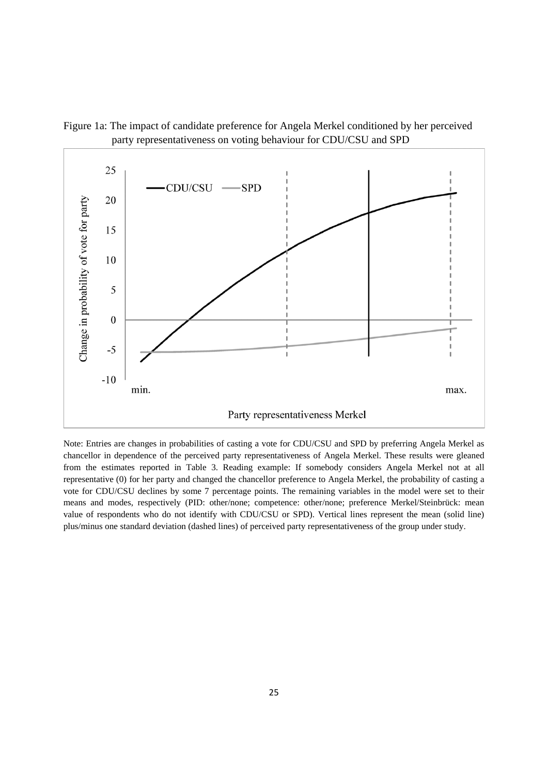

Figure 1a: The impact of candidate preference for Angela Merkel conditioned by her perceived party representativeness on voting behaviour for CDU/CSU and SPD

Note: Entries are changes in probabilities of casting a vote for CDU/CSU and SPD by preferring Angela Merkel as chancellor in dependence of the perceived party representativeness of Angela Merkel. These results were gleaned from the estimates reported in Table 3. Reading example: If somebody considers Angela Merkel not at all representative (0) for her party and changed the chancellor preference to Angela Merkel, the probability of casting a vote for CDU/CSU declines by some 7 percentage points. The remaining variables in the model were set to their means and modes, respectively (PID: other/none; competence: other/none; preference Merkel/Steinbrück: mean value of respondents who do not identify with CDU/CSU or SPD). Vertical lines represent the mean (solid line) plus/minus one standard deviation (dashed lines) of perceived party representativeness of the group under study.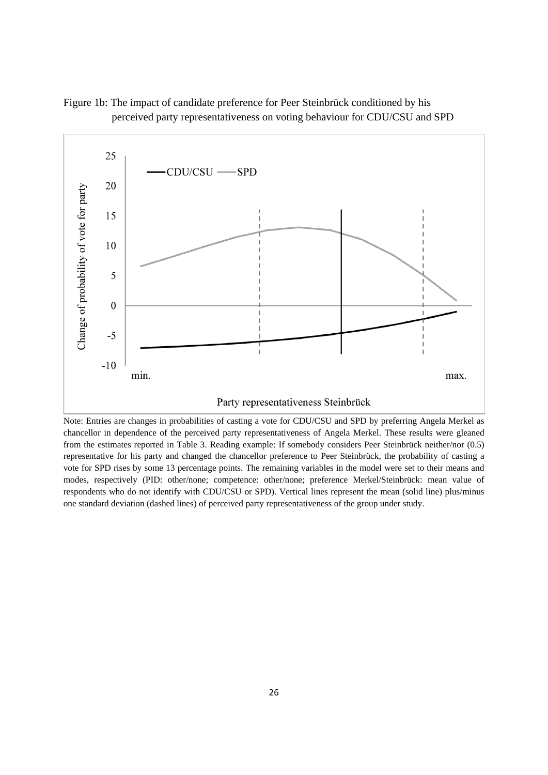

Figure 1b: The impact of candidate preference for Peer Steinbrück conditioned by his perceived party representativeness on voting behaviour for CDU/CSU and SPD

Note: Entries are changes in probabilities of casting a vote for CDU/CSU and SPD by preferring Angela Merkel as chancellor in dependence of the perceived party representativeness of Angela Merkel. These results were gleaned from the estimates reported in Table 3. Reading example: If somebody considers Peer Steinbrück neither/nor (0.5) representative for his party and changed the chancellor preference to Peer Steinbrück, the probability of casting a vote for SPD rises by some 13 percentage points. The remaining variables in the model were set to their means and modes, respectively (PID: other/none; competence: other/none; preference Merkel/Steinbrück: mean value of respondents who do not identify with CDU/CSU or SPD). Vertical lines represent the mean (solid line) plus/minus one standard deviation (dashed lines) of perceived party representativeness of the group under study.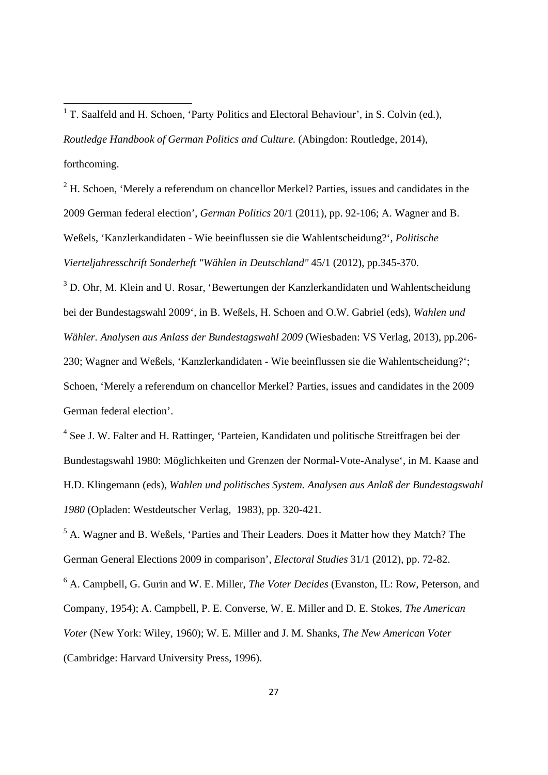<sup>1</sup> T. Saalfeld and H. Schoen, 'Party Politics and Electoral Behaviour', in S. Colvin (ed.), *Routledge Handbook of German Politics and Culture.* (Abingdon: Routledge, 2014), forthcoming.

 $2<sup>2</sup>$  H. Schoen, 'Merely a referendum on chancellor Merkel? Parties, issues and candidates in the 2009 German federal election', *German Politics* 20/1 (2011), pp. 92-106; A. Wagner and B. Weßels, 'Kanzlerkandidaten - Wie beeinflussen sie die Wahlentscheidung?', *Politische Vierteljahresschrift Sonderheft "Wählen in Deutschland"* 45/1 (2012), pp.345-370.

<sup>3</sup> D. Ohr, M. Klein and U. Rosar, 'Bewertungen der Kanzlerkandidaten und Wahlentscheidung bei der Bundestagswahl 2009', in B. Weßels, H. Schoen and O.W. Gabriel (eds), *Wahlen und Wähler. Analysen aus Anlass der Bundestagswahl 2009* (Wiesbaden: VS Verlag, 2013), pp.206- 230; Wagner and Weßels, 'Kanzlerkandidaten - Wie beeinflussen sie die Wahlentscheidung?'; Schoen, 'Merely a referendum on chancellor Merkel? Parties, issues and candidates in the 2009 German federal election'.

<sup>4</sup> See J. W. Falter and H. Rattinger, 'Parteien, Kandidaten und politische Streitfragen bei der Bundestagswahl 1980: Möglichkeiten und Grenzen der Normal-Vote-Analyse', in M. Kaase and H.D. Klingemann (eds), *Wahlen und politisches System. Analysen aus Anlaß der Bundestagswahl 1980* (Opladen: Westdeutscher Verlag, 1983), pp. 320-421.

<sup>5</sup> A. Wagner and B. Weßels, 'Parties and Their Leaders. Does it Matter how they Match? The German General Elections 2009 in comparison', *Electoral Studies* 31/1 (2012), pp. 72-82.

6 A. Campbell, G. Gurin and W. E. Miller, *The Voter Decides* (Evanston, IL: Row, Peterson, and Company, 1954); A. Campbell, P. E. Converse, W. E. Miller and D. E. Stokes, *The American Voter* (New York: Wiley, 1960); W. E. Miller and J. M. Shanks*, The New American Voter* (Cambridge: Harvard University Press, 1996).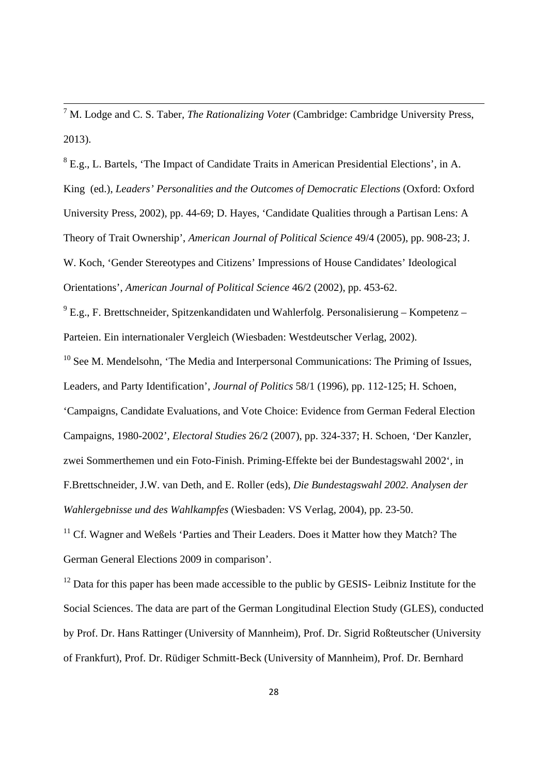<sup>7</sup> M. Lodge and C. S. Taber*, The Rationalizing Voter* (Cambridge: Cambridge University Press, 2013).

 $8$  E.g., L. Bartels, 'The Impact of Candidate Traits in American Presidential Elections', in A. King (ed.), *Leaders' Personalities and the Outcomes of Democratic Elections* (Oxford: Oxford University Press, 2002), pp. 44-69; D. Hayes, 'Candidate Qualities through a Partisan Lens: A Theory of Trait Ownership', *American Journal of Political Science* 49/4 (2005), pp. 908-23; J. W. Koch, 'Gender Stereotypes and Citizens' Impressions of House Candidates' Ideological Orientations', *American Journal of Political Science* 46/2 (2002), pp. 453-62.

 $^{9}$  E.g., F. Brettschneider, Spitzenkandidaten und Wahlerfolg. Personalisierung – Kompetenz – Parteien. Ein internationaler Vergleich (Wiesbaden: Westdeutscher Verlag, 2002).

 $10$  See M. Mendelsohn, 'The Media and Interpersonal Communications: The Priming of Issues, Leaders, and Party Identification', *Journal of Politics* 58/1 (1996), pp. 112-125; H. Schoen, 'Campaigns, Candidate Evaluations, and Vote Choice: Evidence from German Federal Election Campaigns, 1980-2002', *Electoral Studies* 26/2 (2007), pp. 324-337; H. Schoen, 'Der Kanzler, zwei Sommerthemen und ein Foto-Finish. Priming-Effekte bei der Bundestagswahl 2002', in F.Brettschneider, J.W. van Deth, and E. Roller (eds), *Die Bundestagswahl 2002. Analysen der Wahlergebnisse und des Wahlkampfes* (Wiesbaden: VS Verlag, 2004), pp. 23-50.

 $11$  Cf. Wagner and Weßels 'Parties and Their Leaders. Does it Matter how they Match? The German General Elections 2009 in comparison'.

<sup>12</sup> Data for this paper has been made accessible to the public by GESIS- Leibniz Institute for the Social Sciences. The data are part of the German Longitudinal Election Study (GLES), conducted by Prof. Dr. Hans Rattinger (University of Mannheim), Prof. Dr. Sigrid Roßteutscher (University of Frankfurt), Prof. Dr. Rüdiger Schmitt-Beck (University of Mannheim), Prof. Dr. Bernhard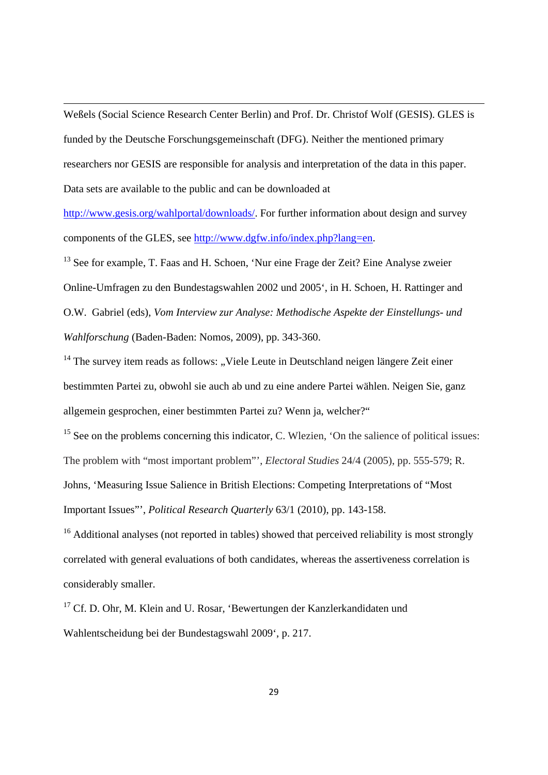Weßels (Social Science Research Center Berlin) and Prof. Dr. Christof Wolf (GESIS). GLES is funded by the Deutsche Forschungsgemeinschaft (DFG). Neither the mentioned primary researchers nor GESIS are responsible for analysis and interpretation of the data in this paper. Data sets are available to the public and can be downloaded at

<u> 1989 - Johann Stein, marwolaethau a bhann an chomhair an t-an chomhair an chomhair an chomhair an chomhair a</u>

http://www.gesis.org/wahlportal/downloads/. For further information about design and survey components of the GLES, see http://www.dgfw.info/index.php?lang=en.

<sup>13</sup> See for example, T. Faas and H. Schoen, 'Nur eine Frage der Zeit? Eine Analyse zweier Online-Umfragen zu den Bundestagswahlen 2002 und 2005', in H. Schoen, H. Rattinger and O.W. Gabriel (eds), *Vom Interview zur Analyse: Methodische Aspekte der Einstellungs- und Wahlforschung* (Baden-Baden: Nomos, 2009), pp. 343-360.

 $14$  The survey item reads as follows: "Viele Leute in Deutschland neigen längere Zeit einer bestimmten Partei zu, obwohl sie auch ab und zu eine andere Partei wählen. Neigen Sie, ganz allgemein gesprochen, einer bestimmten Partei zu? Wenn ja, welcher?"

<sup>15</sup> See on the problems concerning this indicator, C. Wlezien, 'On the salience of political issues: The problem with "most important problem"', *Electoral Studies* 24/4 (2005), pp. 555-579; R. Johns, 'Measuring Issue Salience in British Elections: Competing Interpretations of "Most Important Issues"', *Political Research Quarterly* 63/1 (2010), pp. 143-158.

 $16$  Additional analyses (not reported in tables) showed that perceived reliability is most strongly correlated with general evaluations of both candidates, whereas the assertiveness correlation is considerably smaller.

<sup>17</sup> Cf. D. Ohr, M. Klein and U. Rosar, 'Bewertungen der Kanzlerkandidaten und Wahlentscheidung bei der Bundestagswahl 2009', p. 217.